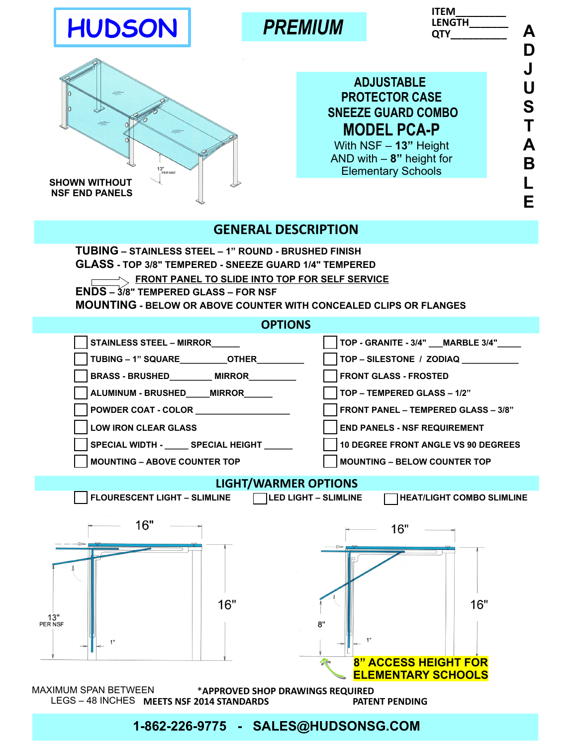